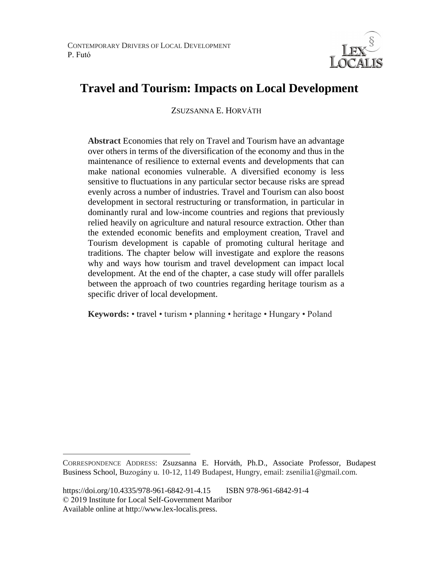

# **Travel and Tourism: Impacts on Local Development**

ZSUZSANNA E. HORVÁTH

**Abstract** Economies that rely on Travel and Tourism have an advantage over others in terms of the diversification of the economy and thus in the maintenance of resilience to external events and developments that can make national economies vulnerable. A diversified economy is less sensitive to fluctuations in any particular sector because risks are spread evenly across a number of industries. Travel and Tourism can also boost development in sectoral restructuring or transformation, in particular in dominantly rural and low-income countries and regions that previously relied heavily on agriculture and natural resource extraction. Other than the extended economic benefits and employment creation, Travel and Tourism development is capable of promoting cultural heritage and traditions. The chapter below will investigate and explore the reasons why and ways how tourism and travel development can impact local development. At the end of the chapter, a case study will offer parallels between the approach of two countries regarding heritage tourism as a specific driver of local development.

**Keywords:** • travel • turism • planning • heritage • Hungary • Poland

 $\overline{a}$ 

CORRESPONDENCE ADDRESS: Zsuzsanna E. Horváth, Ph.D., Associate Professor, Budapest Business School, Buzogány u. 10-12, 1149 Budapest, Hungry, email: zsenilia1@gmail.com.

https://doi.org/10.4335/978-961-6842-91-4.15 ISBN 978-961-6842-91-4 © 2019 Institute for Local Self-Government Maribor Available online at http://www.lex-localis.press.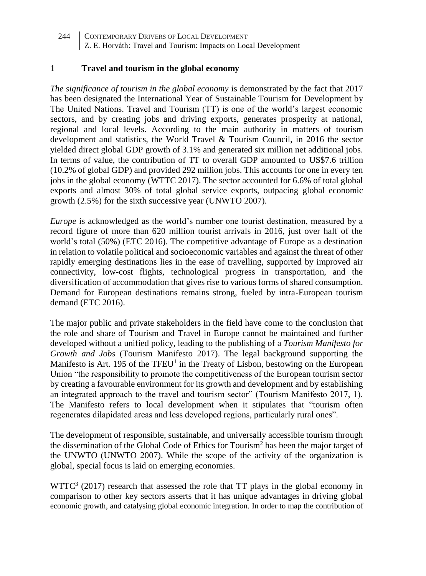#### **1 Travel and tourism in the global economy**

*The significance of tourism in the global economy* is demonstrated by the fact that 2017 has been designated the International Year of Sustainable Tourism for Development by The United Nations. Travel and Tourism (TT) is one of the world's largest economic sectors, and by creating jobs and driving exports, generates prosperity at national, regional and local levels. According to the main authority in matters of tourism development and statistics, the World Travel & Tourism Council, in 2016 the sector yielded direct global GDP growth of 3.1% and generated six million net additional jobs. In terms of value, the contribution of TT to overall GDP amounted to US\$7.6 trillion (10.2% of global GDP) and provided 292 million jobs. This accounts for one in every ten jobs in the global economy (WTTC 2017). The sector accounted for 6.6% of total global exports and almost 30% of total global service exports, outpacing global economic growth (2.5%) for the sixth successive year (UNWTO 2007).

*Europe* is acknowledged as the world's number one tourist destination, measured by a record figure of more than 620 million tourist arrivals in 2016, just over half of the world's total (50%) (ETC 2016). The competitive advantage of Europe as a destination in relation to volatile political and socioeconomic variables and against the threat of other rapidly emerging destinations lies in the ease of travelling, supported by improved air connectivity, low-cost flights, technological progress in transportation, and the diversification of accommodation that gives rise to various forms of shared consumption. Demand for European destinations remains strong, fueled by intra-European tourism demand (ETC 2016).

The major public and private stakeholders in the field have come to the conclusion that the role and share of Tourism and Travel in Europe cannot be maintained and further developed without a unified policy, leading to the publishing of a *Tourism Manifesto for Growth and Jobs* (Tourism Manifesto 2017). The legal background supporting the Manifesto is Art. 195 of the TFEU<sup>1</sup> in the Treaty of Lisbon, bestowing on the European Union "the responsibility to promote the competitiveness of the European tourism sector by creating a favourable environment for its growth and development and by establishing an integrated approach to the travel and tourism sector" (Tourism Manifesto 2017, 1). The Manifesto refers to local development when it stipulates that "tourism often regenerates dilapidated areas and less developed regions, particularly rural ones".

The development of responsible, sustainable, and universally accessible tourism through the dissemination of the Global Code of Ethics for Tourism<sup>2</sup> has been the major target of the UNWTO (UNWTO 2007). While the scope of the activity of the organization is global, special focus is laid on emerging economies.

 $WTTC<sup>3</sup>$  (2017) research that assessed the role that TT plays in the global economy in comparison to other key sectors asserts that it has unique advantages in driving global economic growth, and catalysing global economic integration. In order to map the contribution of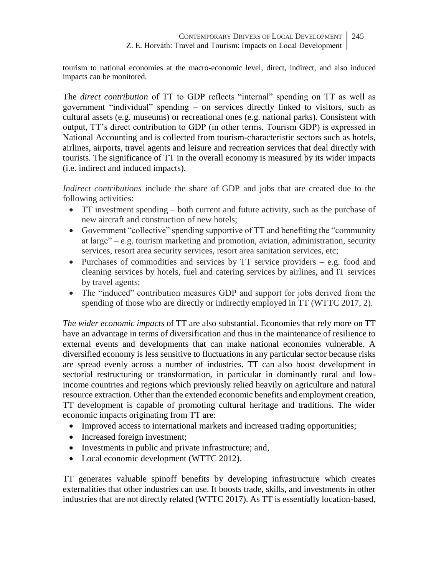tourism to national economies at the macro-economic level, direct, indirect, and also induced impacts can be monitored.

The *direct contribution* of TT to GDP reflects "internal" spending on TT as well as government "individual" spending – on services directly linked to visitors, such as cultural assets (e.g. museums) or recreational ones (e.g. national parks). Consistent with output, TT's direct contribution to GDP (in other terms, Tourism GDP) is expressed in National Accounting and is collected from tourism-characteristic sectors such as hotels, airlines, airports, travel agents and leisure and recreation services that deal directly with tourists. The significance of TT in the overall economy is measured by its wider impacts (i.e. indirect and induced impacts).

*Indirect contributions* include the share of GDP and jobs that are created due to the following activities:

- TT investment spending both current and future activity, such as the purchase of new aircraft and construction of new hotels;
- Government "collective" spending supportive of TT and benefiting the "community at large" – e.g. tourism marketing and promotion, aviation, administration, security services, resort area security services, resort area sanitation services, etc;
- Purchases of commodities and services by  $TT$  service providers e.g. food and cleaning services by hotels, fuel and catering services by airlines, and IT services by travel agents;
- The "induced" contribution measures GDP and support for jobs derived from the spending of those who are directly or indirectly employed in TT (WTTC 2017, 2).

*The wider economic impacts* of TT are also substantial. Economies that rely more on TT have an advantage in terms of diversification and thus in the maintenance of resilience to external events and developments that can make national economies vulnerable. A diversified economy is less sensitive to fluctuations in any particular sector because risks are spread evenly across a number of industries. TT can also boost development in sectorial restructuring or transformation, in particular in dominantly rural and lowincome countries and regions which previously relied heavily on agriculture and natural resource extraction. Other than the extended economic benefits and employment creation, TT development is capable of promoting cultural heritage and traditions. The wider economic impacts originating from TT are:

- Improved access to international markets and increased trading opportunities;
- Increased foreign investment;
- Investments in public and private infrastructure; and,
- Local economic development (WTTC 2012).

TT generates valuable spinoff benefits by developing infrastructure which creates externalities that other industries can use. It boosts trade, skills, and investments in other industries that are not directly related (WTTC 2017). As TT is essentially location-based,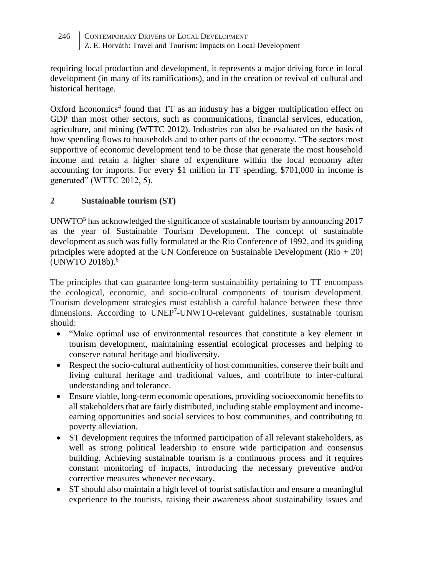requiring local production and development, it represents a major driving force in local development (in many of its ramifications), and in the creation or revival of cultural and historical heritage.

Oxford Economics<sup>4</sup> found that TT as an industry has a bigger multiplication effect on GDP than most other sectors, such as communications, financial services, education, agriculture, and mining (WTTC 2012). Industries can also be evaluated on the basis of how spending flows to households and to other parts of the economy. "The sectors most supportive of economic development tend to be those that generate the most household income and retain a higher share of expenditure within the local economy after accounting for imports. For every \$1 million in TT spending, \$701,000 in income is generated" (WTTC 2012, 5).

# **2 Sustainable tourism (ST)**

UNWTO<sup>5</sup> has acknowledged the significance of sustainable tourism by announcing  $2017$ as the year of Sustainable Tourism Development. The concept of sustainable development as such was fully formulated at the Rio Conference of 1992, and its guiding principles were adopted at the UN Conference on Sustainable Development  $(Rio + 20)$ (UNWTO 2018b).<sup>6</sup>

The principles that can guarantee long-term sustainability pertaining to TT encompass the ecological, economic, and socio-cultural components of tourism development. Tourism development strategies must establish a careful balance between these three dimensions. According to UNEP<sup>7</sup>-UNWTO-relevant guidelines, sustainable tourism should:

- "Make optimal use of environmental resources that constitute a key element in tourism development, maintaining essential ecological processes and helping to conserve natural heritage and biodiversity.
- Respect the socio-cultural authenticity of host communities, conserve their built and living cultural heritage and traditional values, and contribute to inter-cultural understanding and tolerance.
- Ensure viable, long-term economic operations, providing socioeconomic benefits to all stakeholders that are fairly distributed, including stable employment and incomeearning opportunities and social services to host communities, and contributing to poverty alleviation.
- ST development requires the informed participation of all relevant stakeholders, as well as strong political leadership to ensure wide participation and consensus building. Achieving sustainable tourism is a continuous process and it requires constant monitoring of impacts, introducing the necessary preventive and/or corrective measures whenever necessary.
- ST should also maintain a high level of tourist satisfaction and ensure a meaningful experience to the tourists, raising their awareness about sustainability issues and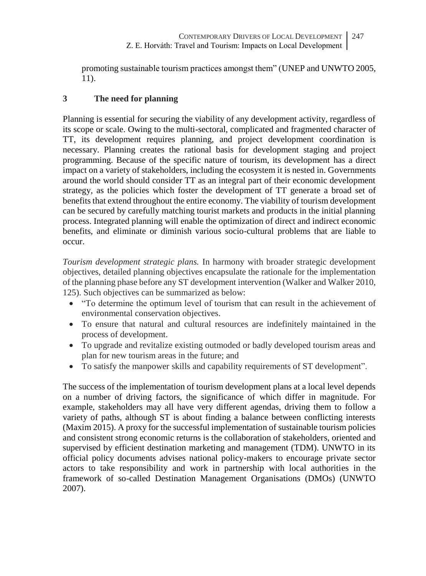promoting sustainable tourism practices amongst them" (UNEP and UNWTO 2005, 11).

# **3 The need for planning**

Planning is essential for securing the viability of any development activity, regardless of its scope or scale. Owing to the multi-sectoral, complicated and fragmented character of TT, its development requires planning, and project development coordination is necessary. Planning creates the rational basis for development staging and project programming. Because of the specific nature of tourism, its development has a direct impact on a variety of stakeholders, including the ecosystem it is nested in. Governments around the world should consider TT as an integral part of their economic development strategy, as the policies which foster the development of TT generate a broad set of benefits that extend throughout the entire economy. The viability of tourism development can be secured by carefully matching tourist markets and products in the initial planning process. Integrated planning will enable the optimization of direct and indirect economic benefits, and eliminate or diminish various socio-cultural problems that are liable to occur.

*Tourism development strategic plans.* In harmony with broader strategic development objectives, detailed planning objectives encapsulate the rationale for the implementation of the planning phase before any ST development intervention (Walker and Walker 2010, 125). Such objectives can be summarized as below:

- "To determine the optimum level of tourism that can result in the achievement of environmental conservation objectives.
- To ensure that natural and cultural resources are indefinitely maintained in the process of development.
- To upgrade and revitalize existing outmoded or badly developed tourism areas and plan for new tourism areas in the future; and
- To satisfy the manpower skills and capability requirements of ST development".

The success of the implementation of tourism development plans at a local level depends on a number of driving factors, the significance of which differ in magnitude. For example, stakeholders may all have very different agendas, driving them to follow a variety of paths, although ST is about finding a balance between conflicting interests (Maxim 2015). A proxy for the successful implementation of sustainable tourism policies and consistent strong economic returns is the collaboration of stakeholders, oriented and supervised by efficient destination marketing and management (TDM). UNWTO in its official policy documents advises national policy-makers to encourage private sector actors to take responsibility and work in partnership with local authorities in the framework of so-called Destination Management Organisations (DMOs) (UNWTO 2007).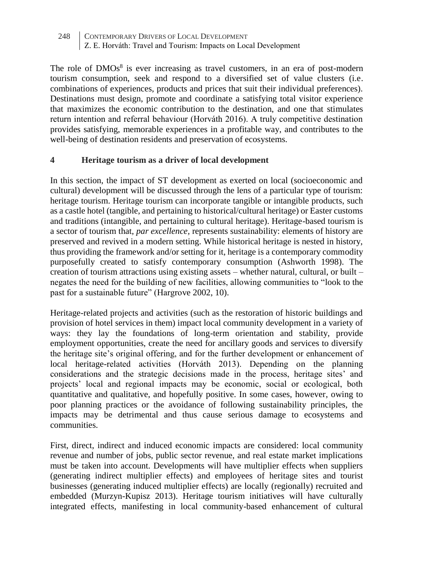The role of  $DMOs<sup>8</sup>$  is ever increasing as travel customers, in an era of post-modern tourism consumption, seek and respond to a diversified set of value clusters (i.e. combinations of experiences, products and prices that suit their individual preferences). Destinations must design, promote and coordinate a satisfying total visitor experience that maximizes the economic contribution to the destination, and one that stimulates return intention and referral behaviour (Horváth 2016). A truly competitive destination provides satisfying, memorable experiences in a profitable way, and contributes to the well-being of destination residents and preservation of ecosystems.

# **4 Heritage tourism as a driver of local development**

In this section, the impact of ST development as exerted on local (socioeconomic and cultural) development will be discussed through the lens of a particular type of tourism: heritage tourism. Heritage tourism can incorporate tangible or intangible products, such as a castle hotel (tangible, and pertaining to historical/cultural heritage) or Easter customs and traditions (intangible, and pertaining to cultural heritage). Heritage-based tourism is a sector of tourism that, *par excellence,* represents sustainability: elements of history are preserved and revived in a modern setting. While historical heritage is nested in history, thus providing the framework and/or setting for it, heritage is a contemporary commodity purposefully created to satisfy contemporary consumption (Ashworth 1998). The creation of tourism attractions using existing assets – whether natural, cultural, or built – negates the need for the building of new facilities, allowing communities to "look to the past for a sustainable future" (Hargrove 2002, 10).

Heritage-related projects and activities (such as the restoration of historic buildings and provision of hotel services in them) impact local community development in a variety of ways: they lay the foundations of long-term orientation and stability, provide employment opportunities, create the need for ancillary goods and services to diversify the heritage site's original offering, and for the further development or enhancement of local heritage-related activities (Horváth 2013). Depending on the planning considerations and the strategic decisions made in the process, heritage sites' and projects' local and regional impacts may be economic, social or ecological, both quantitative and qualitative, and hopefully positive. In some cases, however, owing to poor planning practices or the avoidance of following sustainability principles, the impacts may be detrimental and thus cause serious damage to ecosystems and communities.

First, direct, indirect and induced economic impacts are considered: local community revenue and number of jobs, public sector revenue, and real estate market implications must be taken into account. Developments will have multiplier effects when suppliers (generating indirect multiplier effects) and employees of heritage sites and tourist businesses (generating induced multiplier effects) are locally (regionally) recruited and embedded (Murzyn-Kupisz 2013). Heritage tourism initiatives will have culturally integrated effects, manifesting in local community-based enhancement of cultural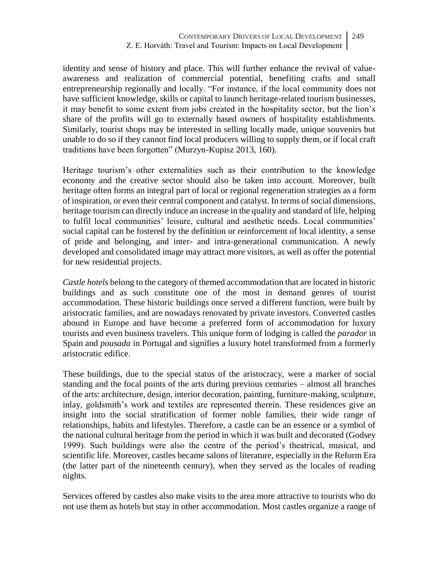identity and sense of history and place. This will further enhance the revival of valueawareness and realization of commercial potential, benefiting crafts and small entrepreneurship regionally and locally. "For instance, if the local community does not have sufficient knowledge, skills or capital to launch heritage-related tourism businesses, it may benefit to some extent from jobs created in the hospitality sector, but the lion's share of the profits will go to externally based owners of hospitality establishments. Similarly, tourist shops may be interested in selling locally made, unique souvenirs but unable to do so if they cannot find local producers willing to supply them, or if local craft traditions have been forgotten" (Murzyn-Kupisz 2013, 160).

Heritage tourism's other externalities such as their contribution to the knowledge economy and the creative sector should also be taken into account. Moreover, built heritage often forms an integral part of local or regional regeneration strategies as a form of inspiration, or even their central component and catalyst. In terms of social dimensions, heritage tourism can directly induce an increase in the quality and standard of life, helping to fulfil local communities' leisure, cultural and aesthetic needs. Local communities' social capital can be fostered by the definition or reinforcement of local identity, a sense of pride and belonging, and inter- and intra-generational communication. A newly developed and consolidated image may attract more visitors, as well as offer the potential for new residential projects.

*Castle hotels* belong to the category of themed accommodation that are located in historic buildings and as such constitute one of the most in demand genres of tourist accommodation. These historic buildings once served a different function, were built by aristocratic families, and are nowadays renovated by private investors. Converted castles abound in Europe and have become a preferred form of accommodation for luxury tourists and even business travelers. This unique form of lodging is called the *parador* in Spain and *pousada* in Portugal and signifies a luxury hotel transformed from a formerly aristocratic edifice.

These buildings, due to the special status of the aristocracy, were a marker of social standing and the focal points of the arts during previous centuries – almost all branches of the arts: architecture, design, interior decoration, painting, furniture-making, sculpture, inlay, goldsmith's work and textiles are represented therein. These residences give an insight into the social stratification of former noble families, their wide range of relationships, habits and lifestyles. Therefore, a castle can be an essence or a symbol of the national cultural heritage from the period in which it was built and decorated (Godsey 1999). Such buildings were also the centre of the period's theatrical, musical, and scientific life. Moreover, castles became salons of literature, especially in the Reform Era (the latter part of the nineteenth century), when they served as the locales of reading nights.

Services offered by castles also make visits to the area more attractive to tourists who do not use them as hotels but stay in other accommodation. Most castles organize a range of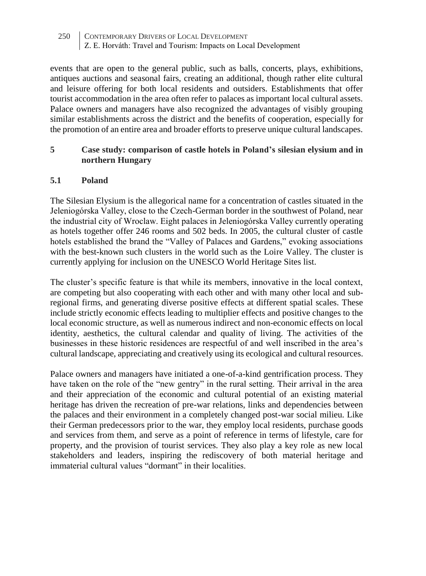events that are open to the general public, such as balls, concerts, plays, exhibitions, antiques auctions and seasonal fairs, creating an additional, though rather elite cultural and leisure offering for both local residents and outsiders. Establishments that offer tourist accommodation in the area often refer to palaces as important local cultural assets. Palace owners and managers have also recognized the advantages of visibly grouping similar establishments across the district and the benefits of cooperation, especially for the promotion of an entire area and broader efforts to preserve unique cultural landscapes.

## **5 Case study: comparison of castle hotels in Poland's silesian elysium and in northern Hungary**

### **5.1 Poland**

The Silesian Elysium is the allegorical name for a concentration of castles situated in the Jeleniogórska Valley, close to the Czech-German border in the southwest of Poland, near the industrial city of Wroclaw. Eight palaces in Jeleniogórska Valley currently operating as hotels together offer 246 rooms and 502 beds. In 2005, the cultural cluster of castle hotels established the brand the "Valley of Palaces and Gardens," evoking associations with the best-known such clusters in the world such as the Loire Valley. The cluster is currently applying for inclusion on the UNESCO World Heritage Sites list.

The cluster's specific feature is that while its members, innovative in the local context, are competing but also cooperating with each other and with many other local and subregional firms, and generating diverse positive effects at different spatial scales. These include strictly economic effects leading to multiplier effects and positive changes to the local economic structure, as well as numerous indirect and non-economic effects on local identity, aesthetics, the cultural calendar and quality of living. The activities of the businesses in these historic residences are respectful of and well inscribed in the area's cultural landscape, appreciating and creatively using its ecological and cultural resources.

Palace owners and managers have initiated a one-of-a-kind gentrification process. They have taken on the role of the "new gentry" in the rural setting. Their arrival in the area and their appreciation of the economic and cultural potential of an existing material heritage has driven the recreation of pre-war relations, links and dependencies between the palaces and their environment in a completely changed post-war social milieu. Like their German predecessors prior to the war, they employ local residents, purchase goods and services from them, and serve as a point of reference in terms of lifestyle, care for property, and the provision of tourist services. They also play a key role as new local stakeholders and leaders, inspiring the rediscovery of both material heritage and immaterial cultural values "dormant" in their localities.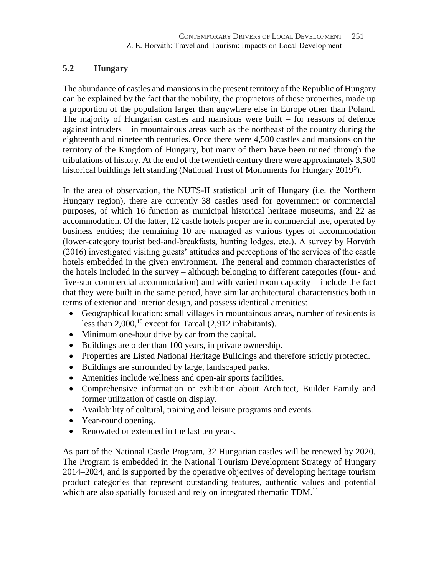# **5.2 Hungary**

The abundance of castles and mansions in the present territory of the Republic of Hungary can be explained by the fact that the nobility, the proprietors of these properties, made up a proportion of the population larger than anywhere else in Europe other than Poland. The majority of Hungarian castles and mansions were built – for reasons of defence against intruders – in mountainous areas such as the northeast of the country during the eighteenth and nineteenth centuries. Once there were 4,500 castles and mansions on the territory of the Kingdom of Hungary, but many of them have been ruined through the tribulations of history. At the end of the twentieth century there were approximately 3,500 historical buildings left standing (National Trust of Monuments for Hungary 2019<sup>9</sup>).

In the area of observation, the NUTS-II statistical unit of Hungary (i.e. the Northern Hungary region), there are currently 38 castles used for government or commercial purposes, of which 16 function as municipal historical heritage museums, and 22 as accommodation. Of the latter, 12 castle hotels proper are in commercial use, operated by business entities; the remaining 10 are managed as various types of accommodation (lower-category tourist bed-and-breakfasts, hunting lodges, etc.). A survey by Horváth (2016) investigated visiting guests' attitudes and perceptions of the services of the castle hotels embedded in the given environment. The general and common characteristics of the hotels included in the survey – although belonging to different categories (four- and five-star commercial accommodation) and with varied room capacity – include the fact that they were built in the same period, have similar architectural characteristics both in terms of exterior and interior design, and possess identical amenities:

- Geographical location: small villages in mountainous areas, number of residents is less than 2,000,<sup>10</sup> except for Tarcal (2,912 inhabitants).
- Minimum one-hour drive by car from the capital.
- Buildings are older than 100 years, in private ownership.
- Properties are Listed National Heritage Buildings and therefore strictly protected.
- Buildings are surrounded by large, landscaped parks.
- Amenities include wellness and open-air sports facilities.
- Comprehensive information or exhibition about Architect, Builder Family and former utilization of castle on display.
- Availability of cultural, training and leisure programs and events.
- Year-round opening.
- Renovated or extended in the last ten years.

As part of the National Castle Program, 32 Hungarian castles will be renewed by 2020. The Program is embedded in the National Tourism Development Strategy of Hungary 2014–2024, and is supported by the operative objectives of developing heritage tourism product categories that represent outstanding features, authentic values and potential which are also spatially focused and rely on integrated thematic TDM.<sup>11</sup>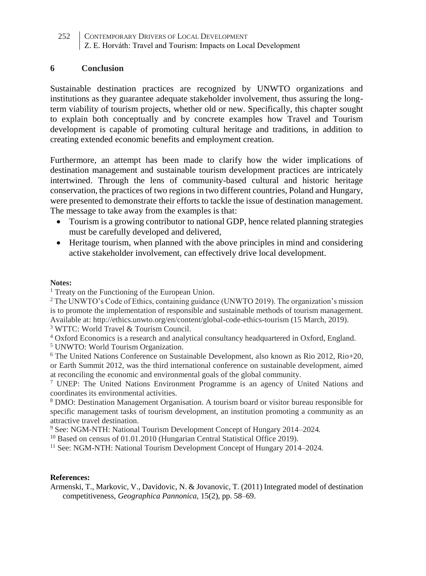#### **6 Conclusion**

Sustainable destination practices are recognized by UNWTO organizations and institutions as they guarantee adequate stakeholder involvement, thus assuring the longterm viability of tourism projects, whether old or new. Specifically, this chapter sought to explain both conceptually and by concrete examples how Travel and Tourism development is capable of promoting cultural heritage and traditions, in addition to creating extended economic benefits and employment creation.

Furthermore, an attempt has been made to clarify how the wider implications of destination management and sustainable tourism development practices are intricately intertwined. Through the lens of community-based cultural and historic heritage conservation, the practices of two regions in two different countries, Poland and Hungary, were presented to demonstrate their efforts to tackle the issue of destination management. The message to take away from the examples is that:

- Tourism is a growing contributor to national GDP, hence related planning strategies must be carefully developed and delivered,
- Heritage tourism, when planned with the above principles in mind and considering active stakeholder involvement, can effectively drive local development.

#### **Notes:**

<sup>1</sup> Treaty on the Functioning of the European Union.

<sup>2</sup> The UNWTO's Code of Ethics, containing guidance (UNWTO 2019). The organization's mission is to promote the implementation of responsible and sustainable methods of tourism management. Available at: http://ethics.unwto.org/en/content/global-code-ethics-tourism (15 March, 2019).

<sup>3</sup> WTTC: World Travel & Tourism Council.

<sup>4</sup> Oxford Economics is a research and analytical consultancy headquartered in Oxford, England.

<sup>5</sup> UNWTO: World Tourism Organization.

 $6$  The United Nations Conference on Sustainable Development, also known as Rio 2012, Rio+20, or Earth Summit 2012, was the third international conference on sustainable development, aimed at reconciling the economic and environmental goals of the global community.

<sup>7</sup> UNEP: The United Nations Environment Programme is an agency of United Nations and coordinates its environmental activities.

<sup>8</sup> DMO: Destination Management Organisation. A tourism board or visitor bureau responsible for specific management tasks of tourism development, an institution promoting a community as an attractive travel destination.

<sup>9</sup> See: NGM-NTH: National Tourism Development Concept of Hungary 2014–2024*.*

<sup>10</sup> Based on census of 01.01.2010 (Hungarian Central Statistical Office 2019).

<sup>11</sup> See: NGM-NTH: National Tourism Development Concept of Hungary 2014–2024*.*

#### **References:**

Armenski, T., Markovic, V., Davidovic, N. & Jovanovic, T. (2011) Integrated model of destination competitiveness, *Geographica Pannonica,* 15(2), pp. 58–69.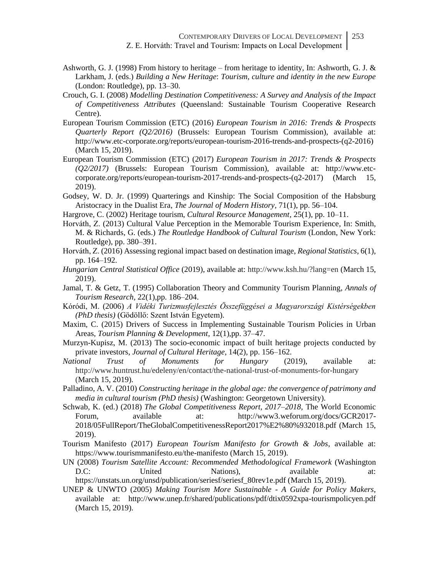- Ashworth, G. J. (1998) From history to heritage from heritage to identity, In: Ashworth, G. J. & Larkham, J. (eds.) *Building a New Heritage*: *Tourism, culture and identity in the new Europe* (London: Routledge), pp. 13–30.
- Crouch, G. I. (2008) *Modelling Destination Competitiveness: A Survey and Analysis of the Impact of Competitiveness Attributes* (Queensland: Sustainable Tourism Cooperative Research Centre).
- European Tourism Commission (ETC) (2016) *European Tourism in 2016: Trends & Prospects Quarterly Report (Q2/2016)* (Brussels: European Tourism Commission), available at: http://www.etc-corporate.org/reports/european-tourism-2016-trends-and-prospects-(q2-2016) (March 15, 2019).
- European Tourism Commission (ETC) (2017) *European Tourism in 2017: Trends & Prospects (Q2/2017)* (Brussels: European Tourism Commission), available at: http://www.etccorporate.org/reports/european-tourism-2017-trends-and-prospects-(q2-2017) (March 15, 2019).
- Godsey, W. D. Jr. (1999) Quarterings and Kinship: The Social Composition of the Habsburg Aristocracy in the Dualist Era, *The Journal of Modern History,* 71(1), pp. 56–104.
- Hargrove, C. (2002) Heritage tourism, *Cultural Resource Management,* 25(1), pp. 10–11.
- Horváth, Z. (2013) Cultural Value Perception in the Memorable Tourism Experience, In: Smith, M. & Richards, G. (eds.) *The Routledge Handbook of Cultural Tourism* (London, New York: Routledge), pp. 380–391.
- Horváth, Z. (2016) Assessing regional impact based on destination image, *Regional Statistics,* 6(1), pp. 164–192*.*
- *Hungarian Central Statistical Office* (2019), available at: http://www.ksh.hu/?lang=en (March 15, 2019).
- Jamal, T. & Getz, T. (1995) Collaboration Theory and Community Tourism Planning, *Annals of Tourism Research,* 22(1),pp. 186–204.
- Kóródi, M. (2006) *A Vidéki Turizmusfejlesztés Összefüggései a Magyarországi Kistérségekben (PhD thesis)* (Gödöllő: Szent István Egyetem).
- Maxim, C. (2015) Drivers of Success in Implementing Sustainable Tourism Policies in Urban Areas, *Tourism Planning & Development,* 12(1),pp. 37–47.
- Murzyn-Kupisz, M. (2013) The socio-economic impact of built heritage projects conducted by private investors, *Journal of Cultural Heritage,* 14(2), pp. 156–162.
- *National Trust of Monuments for Hungary* (2019), available at: http://www.huntrust.hu/edeleny/en/contact/the-national-trust-of-monuments-for-hungary (March 15, 2019).
- Palladino, A. V. (2010) *Constructing heritage in the global age: the convergence of patrimony and media in cultural tourism (PhD thesis)* (Washington: Georgetown University).
- Schwab, K. (ed.) (2018) *The Global Competitiveness Report, 2017–2018,* The World Economic Forum, available at: http://www3.weforum.org/docs/GCR2017- 2018/05FullReport/TheGlobalCompetitivenessReport2017%E2%80%932018.pdf (March 15, 2019).
- Tourism Manifesto (2017) *European Tourism Manifesto for Growth & Jobs*, available at: https://www.tourismmanifesto.eu/the-manifesto (March 15, 2019).
- UN (2008) *Tourism Satellite Account: Recommended Methodological Framework* (Washington D.C: United Nations), available at: https://unstats.un.org/unsd/publication/seriesf/seriesf\_80rev1e.pdf (March 15, 2019).
- UNEP & UNWTO (2005) *Making Tourism More Sustainable - A Guide for Policy Makers*, available at: http://www.unep.fr/shared/publications/pdf/dtix0592xpa-tourismpolicyen.pdf (March 15, 2019).